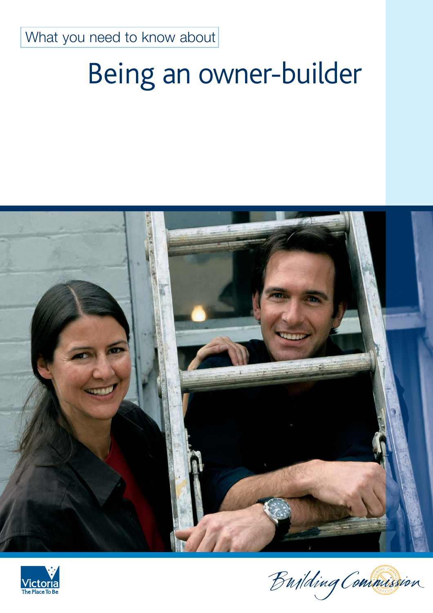What you need to know about

# Being an owner-builder





Building Commission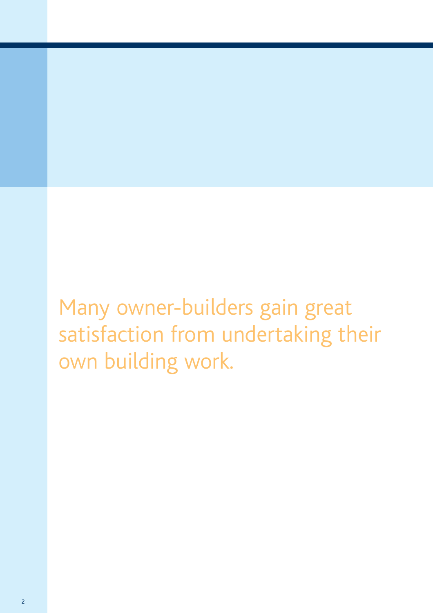Many owner-builders gain great satisfaction from undertaking their own building work.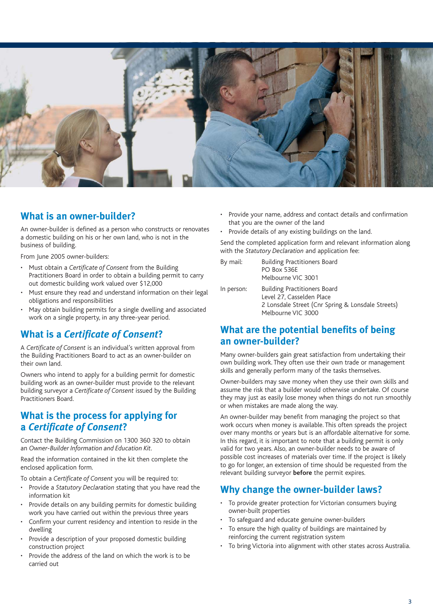

## **What is an owner-builder?**

An owner-builder is defined as a person who constructs or renovates a domestic building on his or her own land, who is not in the business of building.

From June 2005 owner-builders:

- Must obtain a *Certificate of Consent* from the Building Practitioners Board in order to obtain a building permit to carry out domestic building work valued over \$12,000
- Must ensure they read and understand information on their legal obligations and responsibilities
- May obtain building permits for a single dwelling and associated work on a single property, in any three-year period.

## **What is a** *Certificate of Consent***?**

A *Certificate of Consent* is an individual's written approval from the Building Practitioners Board to act as an owner-builder on their own land.

Owners who intend to apply for a building permit for domestic building work as an owner-builder must provide to the relevant building surveyor a *Certificate of Consent* issued by the Building Practitioners Board.

## **What is the process for applying for a** *Certificate of Consent***?**

Contact the Building Commission on 1300 360 320 to obtain an *Owner-Builder Information and Education Kit*.

Read the information contained in the kit then complete the enclosed application form.

To obtain a *Certificate of Consent* you will be required to:

- Provide a *Statutory Declaration* stating that you have read the information kit
- Provide details on any building permits for domestic building work you have carried out within the previous three years
- Confirm your current residency and intention to reside in the dwelling
- Provide a description of your proposed domestic building construction project
- Provide the address of the land on which the work is to be carried out
- Provide your name, address and contact details and confirmation that you are the owner of the land
- Provide details of any existing buildings on the land.

Send the completed application form and relevant information along with the *Statutory Declaration* and application fee:

| By mail:   | <b>Building Practitioners Board</b><br>PO Box 536E<br>Melbourne VIC 3001 |
|------------|--------------------------------------------------------------------------|
| In person: | <b>Building Practitioners Board</b><br>Level 27, Casselden Place         |

2 Lonsdale Street (Cnr Spring & Lonsdale Streets) Melbourne VIC 3000

## **What are the potential benefits of being an owner-builder?**

Many owner-builders gain great satisfaction from undertaking their own building work. They often use their own trade or management skills and generally perform many of the tasks themselves.

Owner-builders may save money when they use their own skills and assume the risk that a builder would otherwise undertake. Of course they may just as easily lose money when things do not run smoothly or when mistakes are made along the way.

An owner-builder may benefit from managing the project so that work occurs when money is available. This often spreads the project over many months or years but is an affordable alternative for some. In this regard, it is important to note that a building permit is only valid for two years. Also, an owner-builder needs to be aware of possible cost increases of materials over time. If the project is likely to go for longer, an extension of time should be requested from the relevant building surveyor **before** the permit expires.

## **Why change the owner-builder laws?**

- To provide greater protection for Victorian consumers buying owner-built properties
- To safeguard and educate genuine owner-builders
- To ensure the high quality of buildings are maintained by reinforcing the current registration system
- To bring Victoria into alignment with other states across Australia.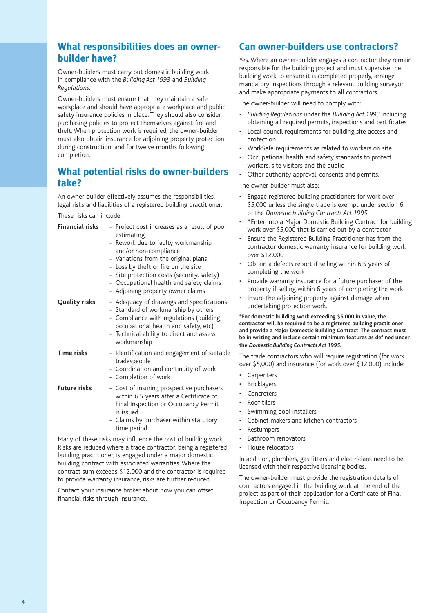## **What responsibilities does an ownerbuilder have?**

Owner-builders must carry out domestic building work in compliance with the *Building Act 1993* and *Building Regulations.*

Owner-builders must ensure that they maintain a safe workplace and should have appropriate workplace and public safety insurance policies in place. They should also consider purchasing policies to protect themselves against fire and theft. When protection work is required, the owner-builder must also obtain insurance for adjoining property protection during construction, and for twelve months following completion.

## **What potential risks do owner-builders take?**

An owner-builder effectively assumes the responsibilities, legal risks and liabilities of a registered building practitioner.

These risks can include:

| <b>Financial risks</b> | - Project cost increases as a result of poor<br>estimating<br>- Rework due to faulty workmanship<br>and/or non-compliance<br>- Variations from the original plans<br>- Loss by theft or fire on the site<br>- Site protection costs (security, safety)<br>- Occupational health and safety claims<br>- Adjoining property owner claims |
|------------------------|----------------------------------------------------------------------------------------------------------------------------------------------------------------------------------------------------------------------------------------------------------------------------------------------------------------------------------------|
| Quality risks          | - Adequacy of drawings and specifications<br>- Standard of workmanship by others<br>- Compliance with regulations (building,<br>occupational health and safety, etc)<br>- Technical ability to direct and assess<br>workmanship                                                                                                        |
| <b>Time risks</b>      | - Identification and engagement of suitable<br>tradespeople<br>- Coordination and continuity of work<br>- Completion of work                                                                                                                                                                                                           |
| <b>Future risks</b>    | - Cost of insuring prospective purchasers<br>within 6.5 years after a Certificate of<br>Final Inspection or Occupancy Permit<br>is issued<br>- Claims by purchaser within statutory<br>time period                                                                                                                                     |

Many of these risks may influence the cost of building work. Risks are reduced where a trade contractor, being a registered building practitioner, is engaged under a major domestic building contract with associated warranties. Where the contract sum exceeds \$12,000 and the contractor is required to provide warranty insurance, risks are further reduced.

Contact your insurance broker about how you can offset financial risks through insurance.

## **Can owner-builders use contractors?**

Yes. Where an owner-builder engages a contractor they remain responsible for the building project and must supervise the building work to ensure it is completed properly, arrange mandatory inspections through a relevant building surveyor and make appropriate payments to all contractors.

The owner-builder will need to comply with:

- *Building Regulations* under the *Building Act 1993* including obtaining all required permits, inspections and certificates
- Local council requirements for building site access and protection
- WorkSafe requirements as related to workers on site
- Occupational health and safety standards to protect workers, site visitors and the public
- Other authority approval, consents and permits.

The owner-builder must also:

- Engage registered building practitioners for work over \$5,000 unless the single trade is exempt under section 6 of the *Domestic building Contracts Act 1995*
- **\***Enter into a Major Domestic Building Contract for building work over \$5,000 that is carried out by a contractor
- Ensure the Registered Building Practitioner has from the contractor domestic warranty insurance for building work over \$12,000
- Obtain a defects report if selling within 6.5 years of completing the work
- Provide warranty insurance for a future purchaser of the property if selling within 6 years of completing the work
- Insure the adjoining property against damage when undertaking protection work.

**\*For domestic building work exceeding \$5,000 in value, the contractor will be required to be a registered building practitioner and provide a Major Domestic Building Contract. The contract must be in writing and include certain minimum features as defined under the** *Domestic Building Contracts Act 1995.* 

The trade contractors who will require registration (for work over \$5,000) and insurance (for work over \$12,000) include:

- **Carpenters**
- **Bricklayers**
- **Concreters**
- Roof tilers
- Swimming pool installers
- Cabinet makers and kitchen contractors
- **Restumpers**
- Bathroom renovators
- House relocators

In addition, plumbers, gas fitters and electricians need to be licensed with their respective licensing bodies.

The owner-builder must provide the registration details of contractors engaged in the building work at the end of the project as part of their application for a Certificate of Final Inspection or Occupancy Permit.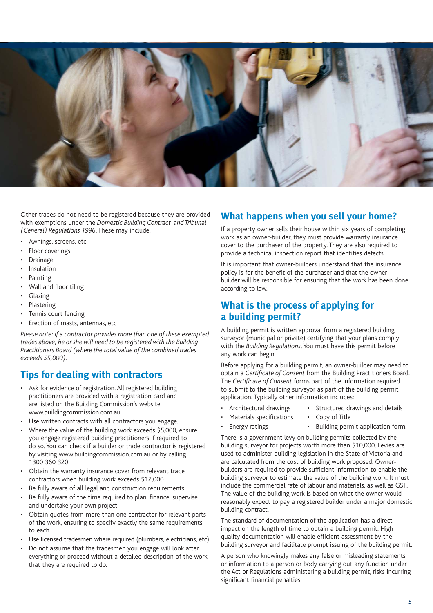

Other trades do not need to be registered because they are provided with exemptions under the *Domestic Building Contract and Tribunal (General) Regulations 1996*. These may include:

- Awnings, screens, etc
- Floor coverings
- **Drainage**
- **Insulation**
- Painting
- Wall and floor tiling
- **Glazing**
- **Plastering**
- Tennis court fencing
- Erection of masts, antennas, etc

*Please note: if a contractor provides more than one of these exempted trades above, he or she will need to be registered with the Building Practitioners Board (where the total value of the combined trades exceeds \$5,000).*

### **Tips for dealing with contractors**

- Ask for evidence of registration. All registered building practitioners are provided with a registration card and are listed on the Building Commission's website www.buildingcommission.com.au
- Use written contracts with all contractors you engage.
- Where the value of the building work exceeds \$5,000, ensure you engage registered building practitioners if required to do so. You can check if a builder or trade contractor is registered by visiting www.buildingcommission.com.au or by calling 1300 360 320
- Obtain the warranty insurance cover from relevant trade contractors when building work exceeds \$12,000
- Be fully aware of all legal and construction requirements.
- Be fully aware of the time required to plan, finance, supervise and undertake your own project
- Obtain quotes from more than one contractor for relevant parts of the work, ensuring to specify exactly the same requirements to each
- Use licensed tradesmen where required (plumbers, electricians, etc)
- Do not assume that the tradesmen you engage will look after everything or proceed without a detailed description of the work that they are required to do.

## **What happens when you sell your home?**

If a property owner sells their house within six years of completing work as an owner-builder, they must provide warranty insurance cover to the purchaser of the property. They are also required to provide a technical inspection report that identifies defects.

It is important that owner-builders understand that the insurance policy is for the benefit of the purchaser and that the ownerbuilder will be responsible for ensuring that the work has been done according to law.

## **What is the process of applying for a building permit?**

A building permit is written approval from a registered building surveyor (municipal or private) certifying that your plans comply with the *Building Regulations*. You must have this permit before any work can begin.

Before applying for a building permit, an owner-builder may need to obtain a *Certificate of Consent* from the Building Practitioners Board. The *Certificate of Consent* forms part of the information required to submit to the building surveyor as part of the building permit application. Typically other information includes:

- - Architectural drawings Structured drawings and details
- Materials specifications Copy of Title
- Energy ratings Building permit application form.

There is a government levy on building permits collected by the building surveyor for projects worth more than \$10,000. Levies are used to administer building legislation in the State of Victoria and are calculated from the cost of building work proposed. Ownerbuilders are required to provide sufficient information to enable the building surveyor to estimate the value of the building work. It must include the commercial rate of labour and materials, as well as GST. The value of the building work is based on what the owner would reasonably expect to pay a registered builder under a major domestic building contract.

The standard of documentation of the application has a direct impact on the length of time to obtain a building permit. High quality documentation will enable efficient assessment by the building surveyor and facilitate prompt issuing of the building permit.

A person who knowingly makes any false or misleading statements or information to a person or body carrying out any function under the Act or Regulations administering a building permit, risks incurring significant financial penalties.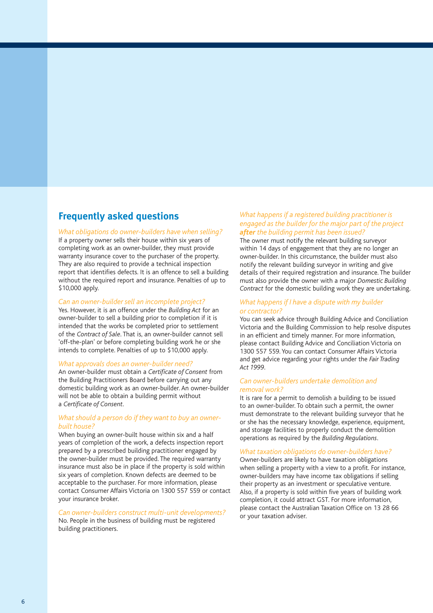## **Frequently asked questions**

#### *What obligations do owner-builders have when selling?*

If a property owner sells their house within six years of completing work as an owner-builder, they must provide warranty insurance cover to the purchaser of the property. They are also required to provide a technical inspection report that identifies defects. It is an offence to sell a building without the required report and insurance. Penalties of up to \$10,000 apply.

#### *Can an owner-builder sell an incomplete project?*

Yes. However, it is an offence under the *Building Act* for an owner-builder to sell a building prior to completion if it is intended that the works be completed prior to settlement of the *Contract of Sale*. That is, an owner-builder cannot sell 'off-the-plan' or before completing building work he or she intends to complete. Penalties of up to \$10,000 apply.

#### *What approvals does an owner-builder need?*

An owner-builder must obtain a *Certificate of Consent* from the Building Practitioners Board before carrying out any domestic building work as an owner-builder. An owner-builder will not be able to obtain a building permit without a *Certificate of Consent*.

#### *What should a person do if they want to buy an ownerbuilt house?*

When buying an owner-built house within six and a half years of completion of the work, a defects inspection report prepared by a prescribed building practitioner engaged by the owner-builder must be provided. The required warranty insurance must also be in place if the property is sold within six years of completion. Known defects are deemed to be acceptable to the purchaser. For more information, please contact Consumer Affairs Victoria on 1300 557 559 or contact your insurance broker.

#### *Can owner-builders construct multi-unit developments?* No. People in the business of building must be registered building practitioners.

#### *What happens if a registered building practitioner is engaged as the builder for the major part of the project after the building permit has been issued?*

The owner must notify the relevant building surveyor within 14 days of engagement that they are no longer an owner-builder. In this circumstance, the builder must also notify the relevant building surveyor in writing and give details of their required registration and insurance. The builder must also provide the owner with a major *Domestic Building Contract* for the domestic building work they are undertaking.

#### *What happens if I have a dispute with my builder or contractor?*

You can seek advice through Building Advice and Conciliation Victoria and the Building Commission to help resolve disputes in an efficient and timely manner. For more information, please contact Building Advice and Conciliation Victoria on 1300 557 559. You can contact Consumer Affairs Victoria and get advice regarding your rights under the *Fair Trading Act 1999*.

#### *Can owner-builders undertake demolition and removal work?*

It is rare for a permit to demolish a building to be issued to an owner-builder. To obtain such a permit, the owner must demonstrate to the relevant building surveyor that he or she has the necessary knowledge, experience, equipment, and storage facilities to properly conduct the demolition operations as required by the *Building Regulations*.

#### *What taxation obligations do owner-builders have?*

Owner-builders are likely to have taxation obligations when selling a property with a view to a profit. For instance, owner-builders may have income tax obligations if selling their property as an investment or speculative venture. Also, if a property is sold within five years of building work completion, it could attract GST. For more information, please contact the Australian Taxation Office on 13 28 66 or your taxation adviser.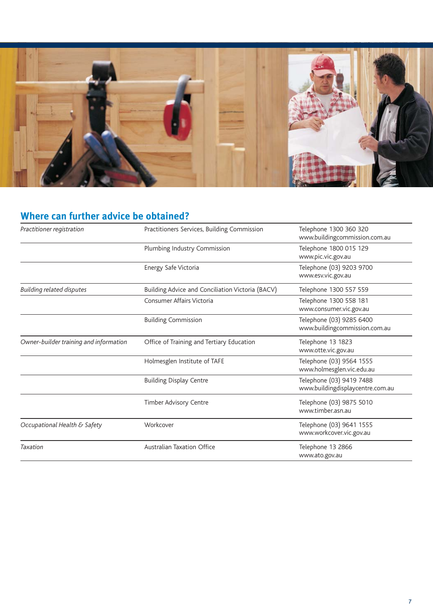

## **Where can further advice be obtained?**

| Practitioner registration              | Practitioners Services, Building Commission      | Telephone 1300 360 320<br>www.buildingcommission.com.au      |
|----------------------------------------|--------------------------------------------------|--------------------------------------------------------------|
|                                        | Plumbing Industry Commission                     | Telephone 1800 015 129<br>www.pic.vic.gov.au                 |
|                                        | Energy Safe Victoria                             | Telephone (03) 9203 9700<br>www.esv.vic.gov.au               |
| <b>Building related disputes</b>       | Building Advice and Conciliation Victoria (BACV) | Telephone 1300 557 559                                       |
|                                        | Consumer Affairs Victoria                        | Telephone 1300 558 181<br>www.consumer.vic.gov.au            |
|                                        | <b>Building Commission</b>                       | Telephone (03) 9285 6400<br>www.buildingcommission.com.au    |
| Owner-builder training and information | Office of Training and Tertiary Education        | Telephone 13 1823<br>www.otte.vic.gov.au                     |
|                                        | Holmesglen Institute of TAFE                     | Telephone (03) 9564 1555<br>www.holmesglen.vic.edu.au        |
|                                        | <b>Building Display Centre</b>                   | Telephone (03) 9419 7488<br>www.buildingdisplaycentre.com.au |
|                                        | Timber Advisory Centre                           | Telephone (03) 9875 5010<br>www.timber.asn.au                |
| Occupational Health & Safety           | Workcover                                        | Telephone (03) 9641 1555<br>www.workcover.vic.gov.au         |
| Taxation                               | <b>Australian Taxation Office</b>                | Telephone 13 2866<br>www.ato.gov.au                          |